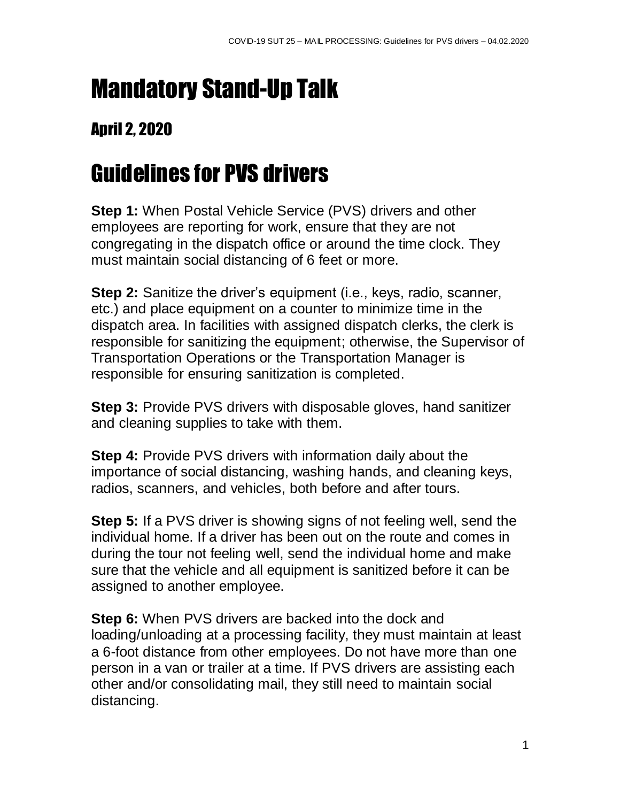## Mandatory Stand-Up Talk

## April 2, 2020

## Guidelines for PVS drivers

**Step 1:** When Postal Vehicle Service (PVS) drivers and other employees are reporting for work, ensure that they are not congregating in the dispatch office or around the time clock. They must maintain social distancing of 6 feet or more.

**Step 2:** Sanitize the driver's equipment (i.e., keys, radio, scanner, etc.) and place equipment on a counter to minimize time in the dispatch area. In facilities with assigned dispatch clerks, the clerk is responsible for sanitizing the equipment; otherwise, the Supervisor of Transportation Operations or the Transportation Manager is responsible for ensuring sanitization is completed.

**Step 3:** Provide PVS drivers with disposable gloves, hand sanitizer and cleaning supplies to take with them.

**Step 4:** Provide PVS drivers with information daily about the importance of social distancing, washing hands, and cleaning keys, radios, scanners, and vehicles, both before and after tours.

**Step 5:** If a PVS driver is showing signs of not feeling well, send the individual home. If a driver has been out on the route and comes in during the tour not feeling well, send the individual home and make sure that the vehicle and all equipment is sanitized before it can be assigned to another employee.

**Step 6:** When PVS drivers are backed into the dock and loading/unloading at a processing facility, they must maintain at least a 6-foot distance from other employees. Do not have more than one person in a van or trailer at a time. If PVS drivers are assisting each other and/or consolidating mail, they still need to maintain social distancing.